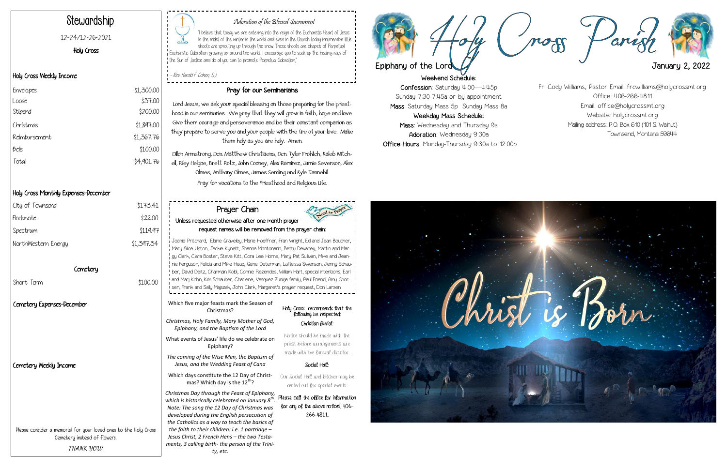



## Adoration of the Blessed Sacrament

"I believe that today we are entering into the reign of the Eucharistic Heart of Jesus. In the midst of the winter in the world and even in the Church today innumerable little shoots are sprouting up through the snow. These shoots are chapels of Perpetual  $\overline{1}$  Eucharistic Odoration growing up around the world... I encourage you to soak up the healing rays of the Sun of Justice and do all you can to promote Perpetual Adoration,"

- Rev. Harold F. Cohen, S.J.

# Stewardship

#### 12-24/12-26-2021

Holy Cross

### Holy Cross Weekly Income

## Holy Cross Monthly Expenses-December

#### Pray for our Seminarians

Lord Jesus, we ask your special blessing on those preparing for the priesthood in our seminaries. We pray that they will grow in faith, hope and love. Give them courage and perseverance and be their constant companion as they prepare to serve you and your people with the fire of your love. Make them holy as you are holy. Amen.

Dillon Armstrong, Dcn. Matthew Christiaens, Dcn. Tyler Frohlich, Kaleb Mitchell, Riley Helgoe, Brett Rotz, John Cooney, Alex Ramirez, Jamie Severson, Alex Olmes, Anthony Olmes, James Semling and Kyle Tannehill. Pray for vocations to the Priesthood and Religious Life.

| Envelopes     | \$1,300.00 |
|---------------|------------|
| Loose         | \$37.00    |
| Stipend       | \$200.00   |
| Christmas     | \$1,897.00 |
| Reimbursement | \$1,367.76 |
| bells         | \$100.00   |
| Total         | \$4,901.76 |
|               |            |

Please consider a memorial for your loved ones to the Holy Cross Cemetery instead of flowers. **THANK YOU!**

| City of Townsend           | \$173.41   |  |
|----------------------------|------------|--|
| Flocknote                  | \$22.00    |  |
| Spectrum                   | \$119.97   |  |
| NorthWestern Energy        | \$1,397.34 |  |
| Comotory                   |            |  |
| Short Term                 | \$100.00   |  |
| Cemetery Expenses-December |            |  |
|                            |            |  |
|                            |            |  |
| Cemetery Weekly Income     |            |  |
|                            |            |  |

|   | Prayer Chain                                                                                                                                                                                                                                                                                                                                                                                                                                                                                                                                                                                                                       | eed for Prayer                                                                            |  |  |  |
|---|------------------------------------------------------------------------------------------------------------------------------------------------------------------------------------------------------------------------------------------------------------------------------------------------------------------------------------------------------------------------------------------------------------------------------------------------------------------------------------------------------------------------------------------------------------------------------------------------------------------------------------|-------------------------------------------------------------------------------------------|--|--|--|
| 7 | Unless requested otherwise after one month prayer<br>request names will be removed from the prayer chain:                                                                                                                                                                                                                                                                                                                                                                                                                                                                                                                          |                                                                                           |  |  |  |
|   | Joanie Pritchard, Elaine Graveley, Marie Hoeffner, Fran Wright, Ed and Jean Boucher,<br>, Mary Alice Upton, Jackie Kynett, Shanna Montonario, Betty Devaney, Martin and Mar-<br>gy Clark, Clara Boster, Steve Kitt, Cora Lee Horne, Mary Pat Sullivan, Mike and Jean-<br>nie Ferguson, Felicia and Mike Head, Gene Determan, LaReissa Swenson, Jenny Schau-<br>ber, David Deitz, Charmain Kobl, Connie Rezendes, William Hart, special intentions, Earl<br>and Marj Kohn, Kim Schauber, Charlene, Vasquez-Zuniga family, Paul Friend, Amy Ghor-<br>sen, Frank and Sally Majszak, John Clark, Margaret's prayer request, Don Larsen |                                                                                           |  |  |  |
|   | Which five major feasts mark the Season of<br>Christmas?                                                                                                                                                                                                                                                                                                                                                                                                                                                                                                                                                                           | Holy Cross recommends that the<br>following be respected:                                 |  |  |  |
|   | Christmas, Holy Family, Mary Mother of God,<br>Epiphany, and the Baptism of the Lord                                                                                                                                                                                                                                                                                                                                                                                                                                                                                                                                               | Christian Burial:                                                                         |  |  |  |
|   | What events of Jesus' life do we celebrate on<br>Epiphany?                                                                                                                                                                                                                                                                                                                                                                                                                                                                                                                                                                         | Notice should be made with the<br>priest before arrangements are                          |  |  |  |
|   | The coming of the Wise Men, the Baptism of<br>Jesus, and the Wedding Feast of Cana                                                                                                                                                                                                                                                                                                                                                                                                                                                                                                                                                 | made with the funeral director.<br>Social Hall:                                           |  |  |  |
|   | Which days constitute the 12 Day of Christ-<br>mas? Which day is the 12 <sup>th</sup> ?                                                                                                                                                                                                                                                                                                                                                                                                                                                                                                                                            | Our Social Hall and kitchen may be<br>rented out for special events.                      |  |  |  |
|   | Christmas Day through the Feast of Epiphany,<br>which is historically celebrated on January $8th$ .<br>Note: The song the 12 Day of Christmas was<br>developed during the English persecution of<br>the Catholics as a way to teach the basics of<br>the faith to their children: i.e. 1 partridge -<br>Jesus Christ, 2 French Hens - the two Testa-<br>ments, 3 calling birth- the person of the Trini-<br>ty, etc.                                                                                                                                                                                                               | Please call the oblice for information<br>for any of the above notices, 406-<br>266-4811. |  |  |  |

Fr. Cody Williams, Pastor Email: frcwilliams@holycrossmt.org Office: 406-266-4811 Email: office@holycrossmt.org Website: holycrossmt.org Mailing address: P.O. Box 610 (101 S. Walnut) Townsend, Montana 59644